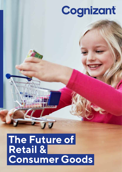# Cognizant

## **The Future of Retail & Consumer Goods**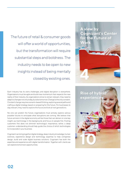The future of retail & consumer goods will offer a world of opportunities, but the transformation will require substantial steps and boldness. The industry needs to be open to new insights instead of being mentally closed by existing ones.

Each industry has its owns challenges, and digital disruption is everywhere. Organizations must be agile and build new momentum that respects the new reality of their industry. As organizations strive to remain relevant, they need to adapt to changes not only today, but also tomorrow. Change is the only constant. Constant change requires scenario-based thinking, exploring several paths and crafting a digital strategy based on preparing for the future. For businesses to stay relevant, they need to explore the future and look at next generations.

No one can predict the future; organizations must actively explore various possible futures to anticipate what disruptions are coming. We believe that future winners in the digital economy will be those that can deliver on one key insight: put technology in the background, and focus on people first. Putting customers first does not diminish technology's importance; rather, a deep customer understanding should help guide the choice of which technologies to incorporate in your business.

Cognizant can bring together digital strategy, deep industry knowledge, human sciences, experience design and technology expertise to help companies design, build and scale digital business solutions. Cognizant has both the expertise and experience with digital transformation. Together with clients we can explore tomorrow's opportunities.

**A view by Cognizant's Center for the Future of Work**



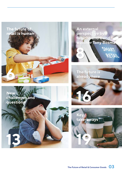







**New challenges and questions**

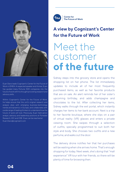

Euan Davis leads Cognizant's Center for the Future of Work in EMEA. A respected speaker and thinker, Euan has guided many Fortune 500 companies into the future of work with his thought provoking research and advisory skills.

Within Cognizant's Center for the Future of Work, he helps ensure that the unit's original research and analysis jibes with emerging business-technology trends and dynamics in Europe, and collaborates with a wide range of leading thinkers to understand how the future of work will look. Previously, Euan held senior analyst, advisory and leadership positions at Forrester Research, IDC and CEB. Euan can be reached at: Euan.Davis@cognizant.com

**Center for** The Future of Work

### **A view by Cognizant's Center for the Future of Work**

## Meet the customer **of the future**

Sidney steps into the grocery store and opens the shopping list on her phone. The list immediately updates to include all of her most frequently purchased items, as well as her favorite products that are on sale. An alert reminds her of her sister's upcoming birthday, and adds champagne and chocolates to the list. After collecting her items, Sidney walks through the exit portal, which instantly charges her items to her bank account. Next is a trip to her favorite boutique, where she slips on a pair of virtual reality (VR) glasses and enters a private viewing room. She swipes through a selection of outfits, specially programmed to suit both her style and body. She chooses two outfits and a new perfume, and walks out the door.

The delivery drone notifies her that her purchases will be waiting when she arrives home. That's enough shopping for today. Next week, she's doing that "mall experience" VR tour with her friends, so there will be plenty of time for browsing then.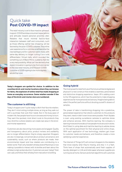### Quick take **Post COVID-19 impact**

The retail industry is set to face massive upheaval in a post-COVID world as consumers' expectations and attitudes toward personal proximity alter. Retailers that insure minimal face-to-face interaction between staff and consumers, such as those offering cashier-less shopping, will be favored by the post-COVID customer. The online user experience for e-commerce will become the new battleground for customer wallet share, with same-day delivery no longer cutting it as a sole differentiator. Virtual malls, which sounded like something out of Black Mirror, suddenly feel like a very real possibility. What can't be denied is that digital innovation is going to be front and center in the new retail industry, and the post-COVID customer of 2025 is going to be more digitally astute than ever.

**Today's shoppers are spoiled for choice. In addition to the countless brick-and-mortar locations where they can browse for items, the explosion of online retail has made shopping at home an everyday occurrence. Some retailers wonder if the days of the brick-and-mortar store are numbered.** 

### **The customer is still king**

Today's shoppers aren't quite ready to ditch their favorite retailers. They don't mind visiting multiple stores, as long as they walk out with a purchase that suits their needs. But in the busy pace of modern life, few people have hours to browse and money to burn. They want the quickest, most direct route to the products they love. And this is where retailers can create real value in the brickand-mortar experience.

Customers are also becoming more aware and engaged. Quality and transparency about price, product reviews and availability are no longer differentiators: they're simply expected. Shoppers are also increasingly concerned about product provenance and sustainability issues, such as where products are made, their environmental impact and how retailers are contributing to a better world. That's why Swedish whiskey brand Mackmyra is now making it possible to interact with its bottles and learn about the whiskey's origin and production. Customers can even "adopt" their own cask, and follow their whiskey from maturation to bottling.

### **Going hybrid**

The most powerful retail formula of the future will blend digital and physical in a new construct that enables a seamless, personalized and distinctive shopping experience. Vaqso VR is adding scent to the VR experience, which has the potential to make shopping experiences far more personal and sensory. Imagine being able to select the perfect perfume without dousing yourself in dozens of samples.

The power of data is transforming shopping into a predictive, personalized experience that directs customers to the products they want, need or didn't even know were possible. Prism Skylabs is even using existing surveillance cameras to optimize stores and enhance services. With machine learning, the company is learning more and more about how people move around in stores. And Celect is using data and machine learning to advise stores on the optimal assortment for their physical and online shops. With each application of new technology, retailers get closer to customer needs and behavior, and therefore create a more satisfying customer experience.

The Internet of Things (IoT) will connect shoppers to the retailers that know exactly what they're missing, and ship it in a flash. Think here of shops that automatically send fresh supplies of laundry detergent or milk and toilet paper whenever supplies are running low at home. Sensors and smart algorithms will customize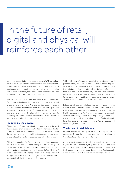## In the future of retail, digital and physical will reinforce each other.

selections for each individual shopper in-store. VR/AR technology will turn dressing rooms into a shopper's own personal style salon. And drones will deliver made-on-demand products right to a customer's door. In short, technology is set to make shopping easier, more convenient, more personal and more targeted – not sometime in the future, but someday very soon.

In the future of retail, digital and physical will reinforce each other. Technology will enhance the physical shopping experience and make it more convenient. And the physical store will ensure that the essential elements of touch, see, feel and explore are maintained or even enhanced. Shopping will be multi-sensory, immersive and adaptive. Retailers will shift from selling products to serving customers: each customer will have direct, frictionless access to the products he or she desires most.

### **Redefining the physical**

There's plenty of room for the brick-and-mortar store in the retail future, but the entire store concept will be transformed. Instead of a fully stocked store with hundreds of options and a labyrinthine layout, the new store concept will use technology to ensure every shopper feels like the store was built exclusively for him or her.

Think, for example, of a fully immersive shopping experience, in which an AI-driven personal shopper selects clothing and accessories based on past purchases, preferences, budgets, style – and even emotions. It's already started, in fact: MyStore-E is an AI-based retail intelligence platform that acts as a personal shopping assistant. No more fumbling in cramped dressing rooms or wondering if the store has the outfit in your size.

With 3D manufacturing, predictive production and personalization, products will only be created when they are ordered. Shoppers will choose exactly the color, style and size that suits best, and every product will be delivered efficiently to their door and paid for electronically. Reduced waste and more efficient production also means lower production costs. This, in turn, means more competitive pricing and better value for money – which is one thing shoppers will always appreciate.

In food retail, the same level of seamless personalization applies. Grocery stores and quick snack stands won't cease to exist, but will merge with technological advancements to ensure that the healthy, delicious and distinctive foods each customer demands are fresh and waiting for them when they're ready to order. With machine learning and on-demand production, food retailers will have their finger on the pulse of consumers' dietary desires, and will be ready to deliver them.

#### **The future of retail is human**

Leading retailers are already aiming for a more personalized experience. Through loyalty programs and scanners, retailers are trying to get even closer to their customers.

As with most advancement today, personalized experiences begin with data. Expanded loyalty programs will still keep track of a customer's past purchases and preferences, but they'll also track moods, occasions, biometric data and more. Customers will immerse themselves in their own, personal shopping paradise.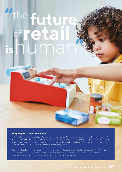### **future** the human **retail** of **is " "**

### **Shopping for a healthier world**

In the retail environment of 2025, trust and privacy will be essential. Consumers will continue to be loyal to companies they trust to not only provide quality products but also to protect their personal data. An era of discretionary consumption will begin, and products will increasingly focus on human health, wellness and social inclusion. Retail will be about smart networks and platforms that serve people, instead of product-focused pushing.

The result? Seamless, frictionless shopping that thrills customers. Personalized production that reduces waste. Conscientious consumerism that not only cares for customers, but also for the planet and its resources. So when Sidney has more shopping to do, she'll be happy to share her data in order to contribute to society as a whole.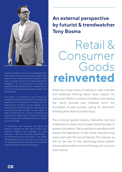

Tony Bosma (1973) is a futurist and trendwatcher. He is the founder of futuring and consultancy organization Extend Limits (www.extendlimits.nl). Extend Limits does not predict the future but helps organizations anticipate it. Do not ask yourself why things are happening. Ask yourself why hasn't it happened yet? This is the mindset companies need to adopt in this era of change.

Tony Bosma is an authority in future thinking and trendwatching and was nominated in The Netherlands several times for trendwatcher of the year. He is an internationally renowned keynote speaker. He is known for his confronting, inspiring, visually attractive and surprising sessions about a wide variety of topics. He also works for a variety of companies and governments, helping them anticipate the future and, more important, challenge and question today's world and mindset.

In collaboration with Cognizant, Tony Bosma did extensive research into near future trends across industries. Together with Cognizant, he made abstracts of the most dominant developments not far fetched futuristic worldviews - but realistic developments which are seen right now. These are not only plausible future developments but also the challenges of technological developments.

### **An external perspective by futurist & trendwatcher Tony Bosma**

# Retail & Consumer Goods **reinvented**

Retail has a long history of relying on mass channels and traditional thinking about value creation for consumers. When it comes to innovation, the industry has mainly pursued new initiatives within the boundaries of past success, opting for short-term thinking rather than a futuristic focus.

The consumer goods industry, meanwhile, has long embraced innovation, but it's been mainly focused on product innovation. We're starting to see efforts shift toward the digitization of the entire manufacturing value chain with the rise of Industry 4.0, however, as well as the rise of new technology-driven players whose sophisticated use of technology will only grow more mature.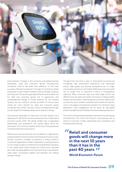

Amid dramatic changes in the consumer and global business landscapes, retail and consumer goods manufacturers companies need to set aside their addiction to their past successes. Remaining relevant in the age of uncertainty means being open to new insights instead of being mentally closed by existing ones. The upcoming decade will be a transformative one for retail and consumer goods, full of opportunity and unprecedented change. A simple question for the industry remains: Are you willing to disrupt yourself? Of course, some trends are more relevant for retail and consumer goods companies than others. Success is about anticipating the right trends instead of mindlessly adopting the speed of change.

The business landscape for retail and consumer goods is at a tipping point. World economies are growing more volatile amid economic power shifts. The global middle class is expanding dramatically, and populations are quickly aging. Amid the dominance of e-commerce giants, there's also rising popularity of small brands and local products.

Platforms are now becoming the new foundation for organizations, and personalization and convenience are the keys for future success. Among consumers, mindless consumption is shifting toward a circular and regenerative mindset. Urbanization is putting pressure on city centers as space is limited and housing demand is growing. In this volatile world, where humans are continuously connected with a fast-changing digital environment and living in new dynamic urban areas, consumption patterns and demands will undergo dramatic change.

The age of the consumer is upon us. Empowered consumers will increasingly seek personalized experiences and meaningful brands. High quality and business transparency are no longer unique selling points but commodities. Retail and consumer goods can no longer think of customers in terms of homogeneous segments. What consumers want and need today will be very different from the wants and needs of tomorrow. Creating healthy margins will be all about meeting specific consumer needs as the one-size-fits-some mindset inexorably shifts toward one-size-fitsnone. In the always-connected environment of on-demand instant gratification, every engagement will be driven by high-speed predictive analytics and a simplified, frictionless shopping experience.

This will blur the boundaries between retail and consumer goods manufacturers. The future will bring an ever-growing rise of direct-to-consumer models, demanding new ecosystems and borderless partnerships.

**Retail and consumer goods will change more in the next 10 years than it has in the past 40 years. "** *World Economic Forum* **"**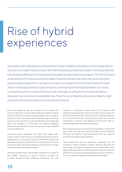# Rise of hybrid experiences

Successful retail organizations and brands will need to address changing customer expectations around consumption by focusing on the role they play beyond product sales. The future belongs to businesses offering honest products and enabling meaningful consumption. This will introduce a new dimension to future business models. Global consumers are more than ever looking for products that are good for, or at least do no harm to, society, the environment and their health. They increasingly prioritize product longevity over buying something disposable. As a result, successful business models of the future will not be about selling more products but about empowering consumers to lead better lives. They'll focus on helping consumers make the right choices for themselves, the environment and the planet.

New technologies will play an important role in shaping the future of retail and consumer goods. Because neither industry has historically been a fast technology adopter, there is a gap to overcome. Just as virtual and online shopping experiences have become more customer-focused and efficient, technology also offers the possibility of enhancing the physical shopping experience and producing consumer goods at a personalized and sustainable level.

Consumer goods companies and retail have always been product-centric, with the focus on transferring products from an organization to a consumer. In physical retail stores, service has been about having the right products in a clean shop with little to no waiting times. The intent of physical stores has been to keep consumers in them as long as possible.

New technologies have fundamentally changed this concept, as they enable consumers to search, discover, evaluate and purchase products totally differently. Digitization has also

resulted in consumers looking beyond the product and expecting the transaction to be not just about the product but about the experience. At a time when we're adding intelligence to our brick-and-mortar world, physical stores will become multisensory, immersive and adaptive environments, with no distinction between the physical and virtual.

Both the physical and virtual worlds will seamlessly connect with each other and with the needs and wants of the individual. Products will become fully personalized, with new ways of promoting and even producing them.

Store experiences will be seamlessly integrated into the customer's hybrid shopping journeys. Physical retail will use technology to enhance experience and convenience, while digital retail will embrace the physical world to fuel trust with the benefits of touching, seeing and experiencing. The question is: for how long will the digital world need these attributes?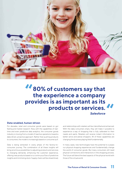

**80% of customers say that the experience a company provides is as important as its products or services.** *Salesforce* **" "**

#### **Data-enabled, human-driven**

For decades, retail and consumer goods were based on gut feeling and market research. Now, with the capabilities of realtime and even predictive data analytics, the consumer goods industry is moving from a model of reactive operations toward a data-driven, proactive approach. Rather than pushing products to consumers, the model is increasingly based on consumer pull.

Data is being extracted in every phase of the factory-toconsumer journey. The combination of all these insights will bring enormous possibilities to adjusting products and services to changing demands, enhancing the customer experience, offering new products based on a continuous flow of predictive insights and minimizing stock. Supply chains will be streamlined,

and relationships with retailers will be intensified and enhanced. With the data consumers share, they will make it possible to experience a way of shopping that is fully calibrated to their needs and wants. Retailers will receive instant information to better serve and advise shoppers. All of these capabilities are changing the business playing field fundamentally.

In many cases, new technologies have the potential to surpass our physical shopping experiences and fundamentally change the world of consumer goods. But many consumers still need physical connections and interactions in the shopping process. The future will blend the best aspects of the physical world with those of the virtual world.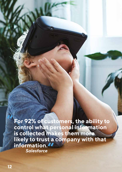**For 92% of customers, the ability to control what personal information is collected makes them more likely to trust a company with that information. "***Salesforce*

**"**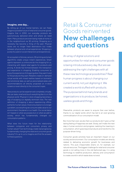#### **Imagine, one day…**

By letting go of our mental barriers, we can freely imagine a possible future of retail and consumer goods. Imagine that in 2050, our everyday products are autonomously delivered when and where we need them. Many products are even being made at home or in the neighborhood via 3D printing. Shopping as a necessity has become a thing of the past. Physical stores are no longer fixed destinations but nodes between physical and virtual experiences. Shopping is purely focused on social interactions and experiences.

An ecosystem of drones, sensors, 3D printing and smart algorithms create unique instant experiences. Smart agents represent us online and do the shopping for us, interacting with digital retail agents for products and pricing. A divide has formed between the transaction and experience in shopping. Enabling consumers to enjoy the experience of shopping when they want it and for the products they want. Retailers create on-demand virtual worlds with mixed realities based on biometric and emotional data, as well as personalized aisles and recommendations all directly projected on in-store screens or even directly to the consumer's eyes.

New products can be experienced completely virtually. We can taste, smell and touch everything like it is in the physical world. Physical in-store shopping becomes a way of escaping our digitally dominant lives. The new definition of shopping is about experiencing offline, authentic human values. Overconsumption is no longer a problem, as everything we consume adds value to our environment, the planet or our health. Our social status isn't based on what we possess but on what we add to society, which has fundamentally changed our consumption patterns.

What does this future mean for the relationship between companies and consumers, privacy and human values? Can technology create real progress by fundamentally changing the retail and consumer goods industry? It's up to us to imagine and find the answers to these questions.

### Retail & Consumer Goods reinvented **New challenges and questions**

An array of digital solutions and opportunities for retail and consumer goods is being introduced every day. But are we addressing the right challenges with all these new technological possibilities? Real human progress is about changing our current world, not just digitizing it. We created a world stuffed with products. The purpose behind many brands and organizations is to produce, be honest, useless goods and things.

Meanwhile, products are easier to acquire than ever before, thanks to our digital world, which has led to an ever-growing commoditization of our consumption model.

But more than ever, we also feel our products don't give us that lasting feeling of happiness we seek. Slowly, we'll make the next step in human evolution and progress: realizing the meaning in consumption, which goes beyond products and transforms into purpose-driven living.

Consumer goods activities have an important impact on our society and environment. Our consumption models are directly related to delivering economic growth for businesses and nations. This puts irresponsible strains on, for example, our natural resources. The biggest challenge for retail and consumer goods is not selling more in the old-fashioned way; it is using technology to redefine production, delivery and consumption to create a world in which waste does not exist.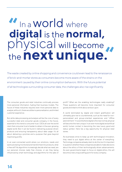# **" "** In a World where  **digital** is the **normal,** physical will become the**next unique.**

The waste created by online shopping and convenience could even lead to the renaissance of brick-and-mortar stores as consumers become more aware of the strains on the environment caused by their online consumption behaviors. With the future potential of all technologies surrounding consumer data, the challenges also rise significantly.

The consumer goods and retail industries continually process more personal information, fueling their business models. The future of these industries requires even more personal data to analyze; without it, there would be no personalization, and limited customer experience.

But while data processing and analysis will be the core of every successful retail and consumer goods company in the future, essential to this trend is consumer trust. CEOs all over the world claim that consumer trust is harder to obtain in the ever-growing digital world. But it can be found in delivering purpose-driven products and ensuring transparency about data usage. It's all about delivering a promise and a purpose that goes beyond maximizing profits.

In an ever-connected world where our emotions, needs and wants are being monitored and transformed into products, what is free will? As algorithms increasingly decide what we need, are our personal choices really free choices, or are they being influenced by smart technology and algorithms for the sake of profit? What are the enabling technologies really enabling? These questions will become more important for consumer goods and retail to think about and act upon.

A world dominated by digital and instant gratification will ultimately give rise to countertrends, such as the need for nonpersonalized and group-oriented experiences and "offline astonishment." In a world where digital is the new normal, physical will become the next unique. In an ever more digital and artificial world, human contact is becoming the new luxury good and status symbol. Here lies a big opportunity for physical retail stores.

As businesses strive to keep up with technological innovation, they need to put digital ethics at the center of everything. Technology companies already claim to do this, but it's important to question whether these companies are able to make decisions about the ethics of their technologically driven advancements. As even governments begin to focus on digital ethics, this will become a new unique selling point for every company.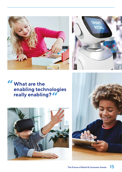



### **What are the enabling technologies really enabling? ""**



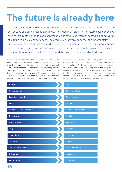## **The future is already here**

The consumer goods and retail industries will be dominated by new technologies but from the perspective of creating real human value. The industry will shift from a system based on selling physical products in a limited and controlled world toward an interconnected, blended world of digital and physical experiences. The production-driven economy will fundamentally transform to a service-based model, driven by individual wants and needs. The manufacturing process of consumer goods will add value to society instead of extracting value and resources. Consumption will add value to the planet and the environment instead of hurting it.

Consumers will freely share their data, with full awareness of what's being shared and for what purpose. They will retain control over data privacy and who they allow to access their personal data. This data can then be translated into personalized products and experiences. Retail will be borderless and flexible and interconnected with physical stores. As people become more aware of the impact of their consumption habits, discretionary consumption will reset the business models of retail organizations and consumer goods companies. Societal pressure will increase the availability of products that focus on health, wellness and societal inclusion. The future challenge for consumer goods and retail businesses will be to become part of the complex and diverse ecosystems of individual consumers. We'll see the transition from people serving structures to smart networks serving people. This will be the result of people wanting to live life on their own terms and demanding convenience.

| From:                        | To:                           |
|------------------------------|-------------------------------|
| Hypothesis-driven            | Relevance-driven              |
| Location-dependent           | <b>Endless aisles</b>         |
| Linear                       | <b>Circular</b>               |
| Generic (one size fits some) | Specific (one size fits none) |
| Responsive                   | <b>Predictive</b>             |
| Human-driven                 | Al-based                      |
| Disposable                   | <b>Durable</b>                |
| Marketing                    | <b>Mattering</b>              |
| Physical                     | <b>Blended</b>                |
| Transaction-focussed         | Experience-centric            |
| <b>Efficiency</b>            | Flexibility                   |
| Optimization                 | Inspiration                   |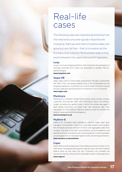## Real-life cases

The following cases are inspirational and show how the retail and consumer goods industries are changing. Startups and new innovative ideas can grow but also fail fast – that is innovation at the frontiers of an industry. No business relationship exists between the cases below and Cognizant.

### **Loop**

Loop is a circular shopping platform that transforms the packaging of everyday essentials from single-use disposable to durable, featurepacked designs.

**www.loopstore.com**

### **Vaqso VR**

Vaqso adds scent to virtual reality experiences. Through a partnership with NEC Corp., the startup enables scent to be incorporated into the shopping experience. Customers can control smells during the buying process, adding an extra dimension to shopping in the virtual world. **www.vaqso.com**

### **Mackmyra**

Mackmyra is a Swedish whisky brand whose smart bottles connect customers and provide them with information about the whisky's origins, including the specific cask in which the whisky was aged. It even allows consumers to create their own personal cask, from maturation to final bottling. Makmyra claims to have the world's first whisky created with artificial intelligence.

**www.mackmyra.co.uk**

### **MyStore-E**

MyStore-E's AI-based retail intelligence platform helps retail store managers merchandise in real-time using data analytics and insights. The AI-based personal assistant monitors and aggregates data from multiple channels to provide merchandising recommendations and identify the items most likely to sell in stores based on current top sellers, social engagement, in-store planograms and local and regional factors. **www.mystore-e.com/solution**

### **Caper**

Caper offers a smart shopping cart that enables autonomous check-out in retail stores. Using deep learning and computer vision, the chart instantly detects items as they enter the cart. Customers can complete the transaction directly on the cart with credit/debit cards or mobile payments. **www.caper.ai**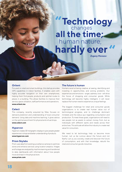### **Technology** human nature, **all the time;** "Techno hardly ever

*Evgeny Morozov*

### **Oriient**

Focused on retail and smart buildings, this startup provides GPS capabilities in indoor facilities. It enables users with highly accurate navigation on their own smartphones, helping them find people, products and optimal routes to places in a building. This allows facilities to improve their service, space utilization, staff performance and operations. **www.oriient.me**

#### **Celect**

This company, recently acquired by Nike, focuses on demand prediction and understanding of local consumer demand. Using data and machine learning, it gives advice on the optimal assortment for physical and virtual shops. **www.celect.com**

#### **Hypervsn**

Hypervsn creates 3D holographic displays to give people greater experiences in shops and better understanding of products.

**www.hypervsn.com**

### **Prism Skylabs**

Prism uses data from existing surveillance cameras to optimize stores and enhance services using location analytics. Images and footage are analyzed by machine learning and transferred to daily dashboards with information about how people move and react in the physical store. **www.prism.com**

#### **The future is human**

Humans excel at being creative, at seeing, identifying and investing in opportunities, and solving problems. Our experiences and emotions – anger, sadness, love – will drive the future of shopping and consumer goods. While technology will become highly intelligent, it will never replace the human need to experience unique feelings.

The biggest challenge for retail and consumer goods organizations is to create real human value out of technological progress, and to challenge dominant mindsets and the status quo regarding consumption and production. To meet these goals, organizations will need to see people not as assets to extract money from, but as individuals with different wants and needs across their entire lives. This attitude will allow the industry to create real value for consumers.

We need to let technology help us become more human. Let us be curious about the future and not fearful. Let us, as a society, create and discover the future of consumption, and with that knowledge, rebuild the retail and consumer goods industries.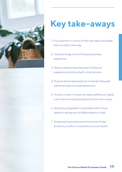

## **Key take-aways**

- 1. Put customers in control of their own data, and enable them to utilize it their way.
- 2. Use technology to enrich the physical retail experience.
- 3. Never underestimate the power of physical experiences combined with virtual services.
- 4. Physical stores help build trust in brands if they add additional value to virtual experiences.
- 5. Human contact in shops can make a difference. Digital is the new normal; physical becomes the next unique.
- 6. Simplicity and speed in combination with human attention are key service differentiators in retail.
- 7. Shopping for good becomes the future of retail as the focus shifts to conscientious consumerism.